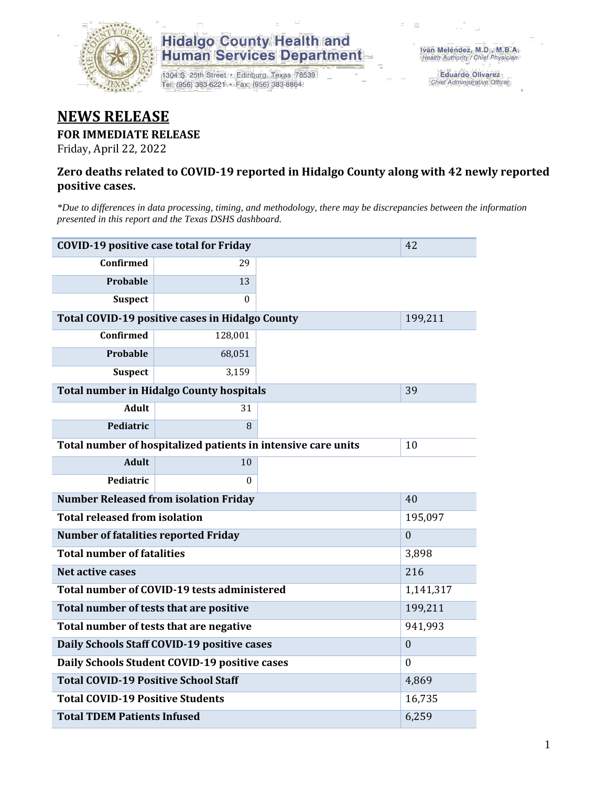

## **Hidalgo County Health and<br>Human Services Department**

1304 S. 25th Street · Edinburg, Texas 78539 Tel: (956) 383-6221 · Fax: (956) 383-8864

Eduardo Olivarez Chief Administrative Officer

## **NEWS RELEASE**

#### **FOR IMMEDIATE RELEASE**

Friday, April 22, 2022

#### **Zero deaths related to COVID-19 reported in Hidalgo County along with 42 newly reported positive cases.**

*\*Due to differences in data processing, timing, and methodology, there may be discrepancies between the information presented in this report and the Texas DSHS dashboard.*

| <b>COVID-19 positive case total for Friday</b><br>42   |                                                               |              |  |  |  |  |
|--------------------------------------------------------|---------------------------------------------------------------|--------------|--|--|--|--|
| <b>Confirmed</b>                                       | 29                                                            |              |  |  |  |  |
| Probable                                               | 13                                                            |              |  |  |  |  |
| <b>Suspect</b>                                         | 0                                                             |              |  |  |  |  |
| <b>Total COVID-19 positive cases in Hidalgo County</b> |                                                               | 199,211      |  |  |  |  |
| <b>Confirmed</b>                                       | 128,001                                                       |              |  |  |  |  |
| Probable                                               | 68,051                                                        |              |  |  |  |  |
| <b>Suspect</b>                                         | 3,159                                                         |              |  |  |  |  |
| <b>Total number in Hidalgo County hospitals</b>        |                                                               | 39           |  |  |  |  |
| <b>Adult</b>                                           | 31                                                            |              |  |  |  |  |
| Pediatric                                              | 8                                                             |              |  |  |  |  |
|                                                        | Total number of hospitalized patients in intensive care units | 10           |  |  |  |  |
| <b>Adult</b>                                           | 10                                                            |              |  |  |  |  |
| Pediatric                                              | 0                                                             |              |  |  |  |  |
| <b>Number Released from isolation Friday</b>           |                                                               | 40           |  |  |  |  |
| <b>Total released from isolation</b>                   |                                                               | 195,097      |  |  |  |  |
| <b>Number of fatalities reported Friday</b>            |                                                               | $\mathbf{0}$ |  |  |  |  |
| <b>Total number of fatalities</b>                      |                                                               | 3,898        |  |  |  |  |
| Net active cases                                       | 216                                                           |              |  |  |  |  |
| Total number of COVID-19 tests administered            |                                                               | 1,141,317    |  |  |  |  |
| Total number of tests that are positive                |                                                               | 199,211      |  |  |  |  |
| Total number of tests that are negative                | 941,993                                                       |              |  |  |  |  |
| Daily Schools Staff COVID-19 positive cases            | $\boldsymbol{0}$                                              |              |  |  |  |  |
| Daily Schools Student COVID-19 positive cases          | $\theta$                                                      |              |  |  |  |  |
| <b>Total COVID-19 Positive School Staff</b>            | 4,869                                                         |              |  |  |  |  |
| <b>Total COVID-19 Positive Students</b>                | 16,735                                                        |              |  |  |  |  |
| <b>Total TDEM Patients Infused</b>                     | 6,259                                                         |              |  |  |  |  |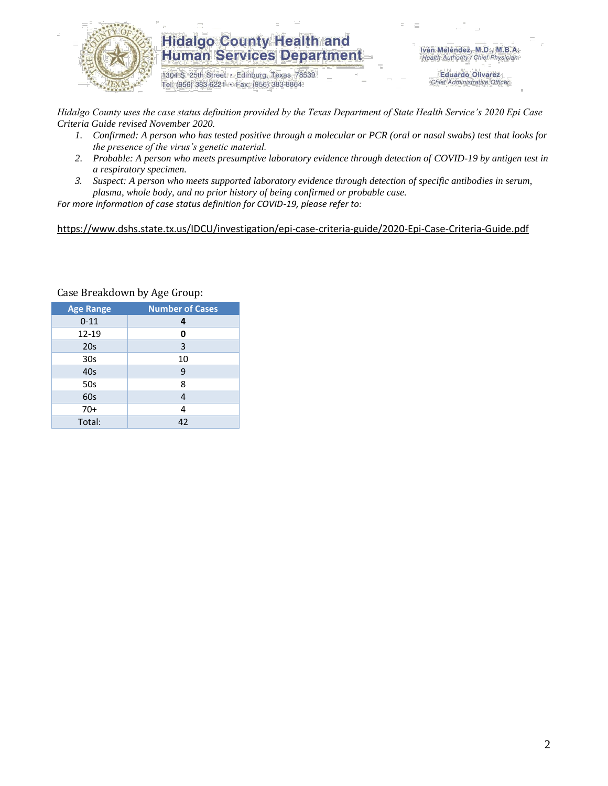

### **Hidalgo County Health and Human Services Department**

1304 S. 25th Street · Edinburg, Texas 78539 Tel: (956) 383-6221 · Fax: (956) 383-8864

Iván Meléndez, M.D., M.B.A. Health Authority / Chief Physician

> **Eduardo Olivarez** Chief Administrative Officer

*Hidalgo County uses the case status definition provided by the Texas Department of State Health Service's 2020 Epi Case Criteria Guide revised November 2020.*

- *1. Confirmed: A person who has tested positive through a molecular or PCR (oral or nasal swabs) test that looks for the presence of the virus's genetic material.*
- *2. Probable: A person who meets presumptive laboratory evidence through detection of COVID-19 by antigen test in a respiratory specimen.*
- *3. Suspect: A person who meets supported laboratory evidence through detection of specific antibodies in serum, plasma, whole body, and no prior history of being confirmed or probable case.*

*For more information of case status definition for COVID-19, please refer to:*

<https://www.dshs.state.tx.us/IDCU/investigation/epi-case-criteria-guide/2020-Epi-Case-Criteria-Guide.pdf>

| <b>Age Range</b> | <b>Number of Cases</b> |  |  |  |
|------------------|------------------------|--|--|--|
| $0 - 11$         | 4                      |  |  |  |
| $12 - 19$        | 0                      |  |  |  |
| 20 <sub>s</sub>  | 3                      |  |  |  |
| 30 <sub>s</sub>  | 10                     |  |  |  |
| 40s              | 9                      |  |  |  |
| 50s              | 8                      |  |  |  |
| 60s              | 4                      |  |  |  |
| $70+$            | 4                      |  |  |  |
| Total:           | 42                     |  |  |  |

Case Breakdown by Age Group: